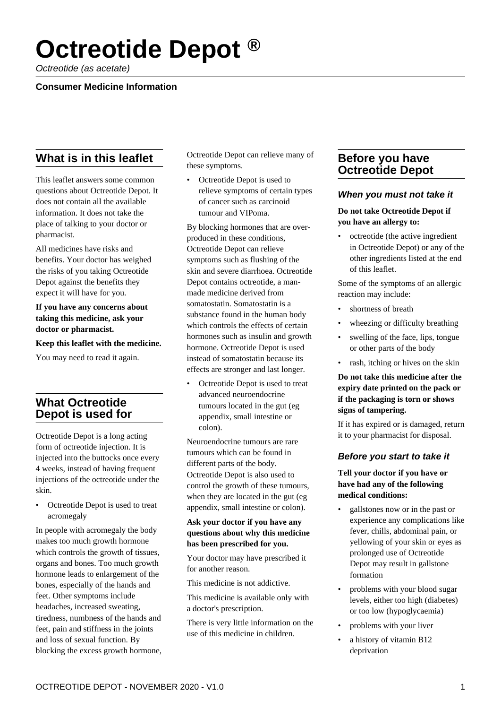# **Octreotide Depot ®**

Octreotide (as acetate)

## **Consumer Medicine Information**

# **What is in this leaflet**

This leaflet answers some common questions about Octreotide Depot. It does not contain all the available information. It does not take the place of talking to your doctor or pharmacist.

All medicines have risks and benefits. Your doctor has weighed the risks of you taking Octreotide Depot against the benefits they expect it will have for you.

**If you have any concerns about taking this medicine, ask your doctor or pharmacist.**

**Keep this leaflet with the medicine.**

You may need to read it again.

# **What Octreotide Depot is used for**

Octreotide Depot is a long acting form of octreotide injection. It is injected into the buttocks once every 4 weeks, instead of having frequent injections of the octreotide under the skin.

• Octreotide Depot is used to treat acromegaly

In people with acromegaly the body makes too much growth hormone which controls the growth of tissues, organs and bones. Too much growth hormone leads to enlargement of the bones, especially of the hands and feet. Other symptoms include headaches, increased sweating, tiredness, numbness of the hands and feet, pain and stiffness in the joints and loss of sexual function. By blocking the excess growth hormone, Octreotide Depot can relieve many of these symptoms.

• Octreotide Depot is used to relieve symptoms of certain types of cancer such as carcinoid tumour and VIPoma.

By blocking hormones that are overproduced in these conditions, Octreotide Depot can relieve symptoms such as flushing of the skin and severe diarrhoea. Octreotide Depot contains octreotide, a manmade medicine derived from somatostatin. Somatostatin is a substance found in the human body which controls the effects of certain hormones such as insulin and growth hormone. Octreotide Depot is used instead of somatostatin because its effects are stronger and last longer.

• Octreotide Depot is used to treat advanced neuroendocrine tumours located in the gut (eg appendix, small intestine or colon).

Neuroendocrine tumours are rare tumours which can be found in different parts of the body. Octreotide Depot is also used to control the growth of these tumours, when they are located in the gut (eg appendix, small intestine or colon).

## **Ask your doctor if you have any questions about why this medicine has been prescribed for you.**

Your doctor may have prescribed it for another reason.

This medicine is not addictive.

This medicine is available only with a doctor's prescription.

There is very little information on the use of this medicine in children.

## **Before you have Octreotide Depot**

## **When you must not take it**

#### **Do not take Octreotide Depot if you have an allergy to:**

• octreotide (the active ingredient in Octreotide Depot) or any of the other ingredients listed at the end of this leaflet.

Some of the symptoms of an allergic reaction may include:

- shortness of breath
- wheezing or difficulty breathing
- swelling of the face, lips, tongue or other parts of the body
- rash, itching or hives on the skin

**Do not take this medicine after the expiry date printed on the pack or if the packaging is torn or shows signs of tampering.**

If it has expired or is damaged, return it to your pharmacist for disposal.

## **Before you start to take it**

## **Tell your doctor if you have or have had any of the following medical conditions:**

- gallstones now or in the past or experience any complications like fever, chills, abdominal pain, or yellowing of your skin or eyes as prolonged use of Octreotide Depot may result in gallstone formation
- problems with your blood sugar levels, either too high (diabetes) or too low (hypoglycaemia)
- problems with your liver
- a history of vitamin B12 deprivation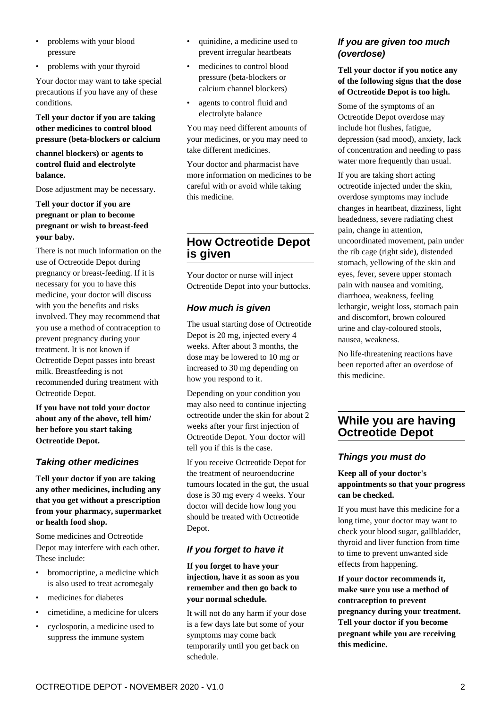- problems with your blood pressure
- problems with your thyroid

Your doctor may want to take special precautions if you have any of these conditions.

#### **Tell your doctor if you are taking other medicines to control blood pressure (beta-blockers or calcium**

**channel blockers) or agents to control fluid and electrolyte balance.**

Dose adjustment may be necessary.

## **Tell your doctor if you are pregnant or plan to become pregnant or wish to breast-feed your baby.**

There is not much information on the use of Octreotide Depot during pregnancy or breast-feeding. If it is necessary for you to have this medicine, your doctor will discuss with you the benefits and risks involved. They may recommend that you use a method of contraception to prevent pregnancy during your treatment. It is not known if Octreotide Depot passes into breast milk. Breastfeeding is not recommended during treatment with Octreotide Depot.

**If you have not told your doctor about any of the above, tell him/ her before you start taking Octreotide Depot.**

## **Taking other medicines**

**Tell your doctor if you are taking any other medicines, including any that you get without a prescription from your pharmacy, supermarket or health food shop.**

Some medicines and Octreotide Depot may interfere with each other. These include:

- bromocriptine, a medicine which is also used to treat acromegaly
- medicines for diabetes
- cimetidine, a medicine for ulcers
- cyclosporin, a medicine used to suppress the immune system
- quinidine, a medicine used to prevent irregular heartbeats
- medicines to control blood pressure (beta-blockers or calcium channel blockers)
- agents to control fluid and electrolyte balance

You may need different amounts of your medicines, or you may need to take different medicines.

Your doctor and pharmacist have more information on medicines to be careful with or avoid while taking this medicine.

# **How Octreotide Depot is given**

Your doctor or nurse will inject Octreotide Depot into your buttocks.

## **How much is given**

The usual starting dose of Octreotide Depot is 20 mg, injected every 4 weeks. After about 3 months, the dose may be lowered to 10 mg or increased to 30 mg depending on how you respond to it.

Depending on your condition you may also need to continue injecting octreotide under the skin for about 2 weeks after your first injection of Octreotide Depot. Your doctor will tell you if this is the case.

If you receive Octreotide Depot for the treatment of neuroendocrine tumours located in the gut, the usual dose is 30 mg every 4 weeks. Your doctor will decide how long you should be treated with Octreotide Depot.

## **If you forget to have it**

#### **If you forget to have your injection, have it as soon as you remember and then go back to your normal schedule.**

It will not do any harm if your dose is a few days late but some of your symptoms may come back temporarily until you get back on schedule.

## **If you are given too much (overdose)**

## **Tell your doctor if you notice any of the following signs that the dose of Octreotide Depot is too high.**

Some of the symptoms of an Octreotide Depot overdose may include hot flushes, fatigue, depression (sad mood), anxiety, lack of concentration and needing to pass water more frequently than usual.

If you are taking short acting octreotide injected under the skin, overdose symptoms may include changes in heartbeat, dizziness, light headedness, severe radiating chest pain, change in attention, uncoordinated movement, pain under the rib cage (right side), distended stomach, yellowing of the skin and eyes, fever, severe upper stomach pain with nausea and vomiting, diarrhoea, weakness, feeling lethargic, weight loss, stomach pain and discomfort, brown coloured urine and clay-coloured stools, nausea, weakness.

No life-threatening reactions have been reported after an overdose of this medicine.

# **While you are having Octreotide Depot**

## **Things you must do**

## **Keep all of your doctor's appointments so that your progress can be checked.**

If you must have this medicine for a long time, your doctor may want to check your blood sugar, gallbladder, thyroid and liver function from time to time to prevent unwanted side effects from happening.

**If your doctor recommends it, make sure you use a method of contraception to prevent pregnancy during your treatment. Tell your doctor if you become pregnant while you are receiving this medicine.**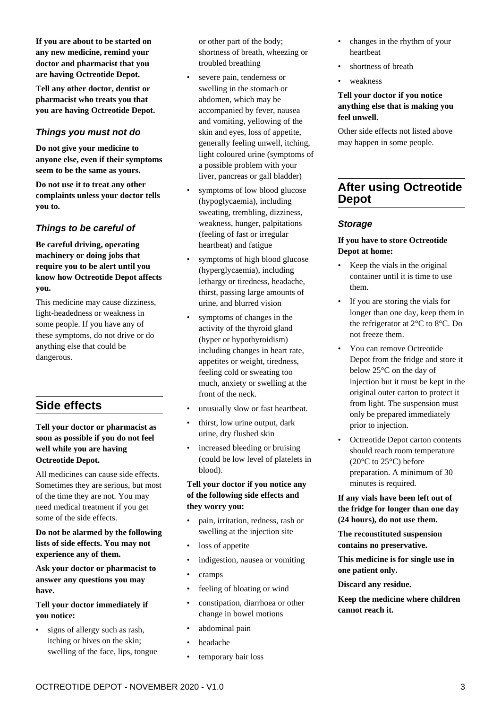dangerous.

anything else that could be

**If you are about to be started on any new medicine, remind your doctor and pharmacist that you are having Octreotide Depot. Tell any other doctor, dentist or pharmacist who treats you that you are having Octreotide Depot.**

**Things you must not do Do not give your medicine to anyone else, even if their symptoms seem to be the same as yours. Do not use it to treat any other complaints unless your doctor tells**

**Things to be careful of**

**Be careful driving, operating machinery or doing jobs that require you to be alert until you know how Octreotide Depot affects**

This medicine may cause dizziness, light-headedness or weakness in some people. If you have any of these symptoms, do not drive or do

**you to.**

**you.**

# **Side effects**

#### **Tell your doctor or pharmacist as soon as possible if you do not feel well while you are having Octreotide Depot.**

All medicines can cause side effects. Sometimes they are serious, but most of the time they are not. You may need medical treatment if you get some of the side effects.

#### **Do not be alarmed by the following lists of side effects. You may not experience any of them.**

**Ask your doctor or pharmacist to answer any questions you may have.**

## **Tell your doctor immediately if you notice:**

• signs of allergy such as rash, itching or hives on the skin; swelling of the face, lips, tongue or other part of the body; shortness of breath, wheezing or troubled breathing

- severe pain, tenderness or swelling in the stomach or abdomen, which may be accompanied by fever, nausea and vomiting, yellowing of the skin and eyes, loss of appetite, generally feeling unwell, itching, light coloured urine (symptoms of a possible problem with your liver, pancreas or gall bladder)
- symptoms of low blood glucose (hypoglycaemia), including sweating, trembling, dizziness, weakness, hunger, palpitations (feeling of fast or irregular heartbeat) and fatigue
- symptoms of high blood glucose (hyperglycaemia), including lethargy or tiredness, headache, thirst, passing large amounts of urine, and blurred vision
- symptoms of changes in the activity of the thyroid gland (hyper or hypothyroidism) including changes in heart rate, appetites or weight, tiredness, feeling cold or sweating too much, anxiety or swelling at the front of the neck.
- unusually slow or fast heartbeat.
- thirst, low urine output, dark urine, dry flushed skin
- increased bleeding or bruising (could be low level of platelets in blood).

#### **Tell your doctor if you notice any of the following side effects and they worry you:**

- pain, irritation, redness, rash or swelling at the injection site
- loss of appetite
- indigestion, nausea or vomiting
- cramps
- feeling of bloating or wind
- constipation, diarrhoea or other change in bowel motions
- abdominal pain
- headache
- temporary hair loss
- changes in the rhythm of your heartbeat
- shortness of breath
- weakness

## **Tell your doctor if you notice anything else that is making you feel unwell.**

Other side effects not listed above may happen in some people.

## **After using Octreotide Depot**

## **Storage**

#### **If you have to store Octreotide Depot at home:**

- Keep the vials in the original container until it is time to use them.
- If you are storing the vials for longer than one day, keep them in the refrigerator at 2°C to 8°C. Do not freeze them.
- You can remove Octreotide Depot from the fridge and store it below 25°C on the day of injection but it must be kept in the original outer carton to protect it from light. The suspension must only be prepared immediately prior to injection.
- Octreotide Depot carton contents should reach room temperature  $(20^{\circ}$ C to  $25^{\circ}$ C) before preparation. A minimum of 30 minutes is required.

**If any vials have been left out of the fridge for longer than one day (24 hours), do not use them.**

**The reconstituted suspension contains no preservative.**

**This medicine is for single use in one patient only.**

#### **Discard any residue.**

**Keep the medicine where children cannot reach it.**